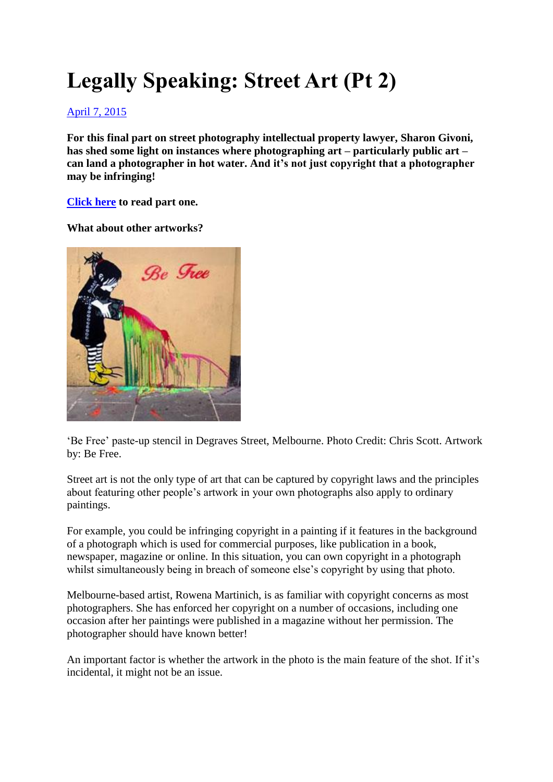# **Legally Speaking: Street Art (Pt 2)**

# [April 7, 2015](http://procounter.com.au/2015/04/07/legally-speaking-street-art-pt-2/)

**For this final part on street photography intellectual property lawyer, Sharon Givoni, has shed some light on instances where photographing art – particularly public art – can land a photographer in hot water. And it's not just copyright that a photographer may be infringing!**

**[Click here](http://procounter.com.au/2015/03/20/legally-speaking-street-art-pt-1/) to read part one.**

**What about other artworks?**



'Be Free' paste-up stencil in Degraves Street, Melbourne. Photo Credit: Chris Scott. Artwork by: Be Free.

Street art is not the only type of art that can be captured by copyright laws and the principles about featuring other people's artwork in your own photographs also apply to ordinary paintings.

For example, you could be infringing copyright in a painting if it features in the background of a photograph which is used for commercial purposes, like publication in a book, newspaper, magazine or online. In this situation, you can own copyright in a photograph whilst simultaneously being in breach of someone else's copyright by using that photo.

Melbourne-based artist, Rowena Martinich, is as familiar with copyright concerns as most photographers. She has enforced her copyright on a number of occasions, including one occasion after her paintings were published in a magazine without her permission. The photographer should have known better!

An important factor is whether the artwork in the photo is the main feature of the shot. If it's incidental, it might not be an issue.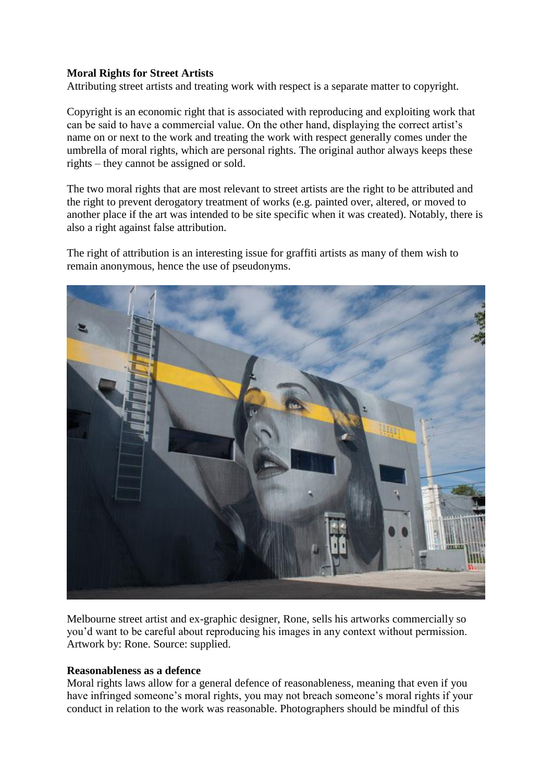# **Moral Rights for Street Artists**

Attributing street artists and treating work with respect is a separate matter to copyright.

Copyright is an economic right that is associated with reproducing and exploiting work that can be said to have a commercial value. On the other hand, displaying the correct artist's name on or next to the work and treating the work with respect generally comes under the umbrella of moral rights, which are personal rights. The original author always keeps these rights – they cannot be assigned or sold.

The two moral rights that are most relevant to street artists are the right to be attributed and the right to prevent derogatory treatment of works (e.g. painted over, altered, or moved to another place if the art was intended to be site specific when it was created). Notably, there is also a right against false attribution.

The right of attribution is an interesting issue for graffiti artists as many of them wish to remain anonymous, hence the use of pseudonyms.



Melbourne street artist and ex-graphic designer, Rone, sells his artworks commercially so you'd want to be careful about reproducing his images in any context without permission. Artwork by: Rone. Source: supplied.

### **Reasonableness as a defence**

Moral rights laws allow for a general defence of reasonableness, meaning that even if you have infringed someone's moral rights, you may not breach someone's moral rights if your conduct in relation to the work was reasonable. Photographers should be mindful of this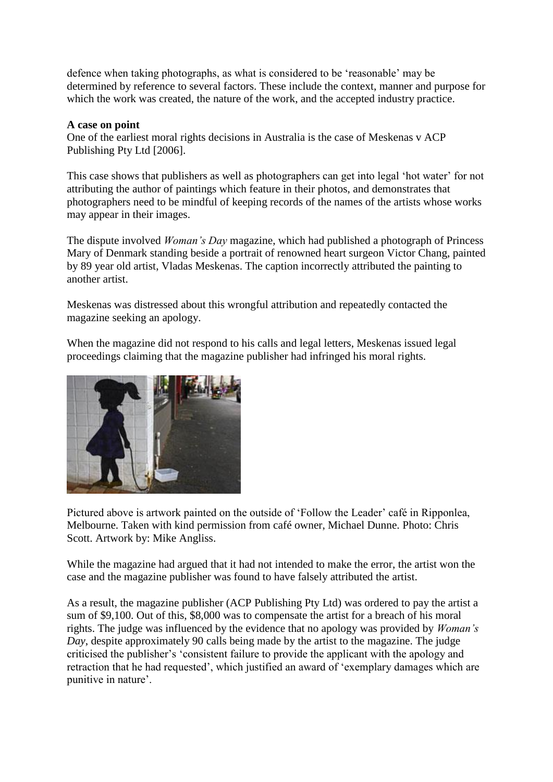defence when taking photographs, as what is considered to be 'reasonable' may be determined by reference to several factors. These include the context, manner and purpose for which the work was created, the nature of the work, and the accepted industry practice.

## **A case on point**

One of the earliest moral rights decisions in Australia is the case of Meskenas v ACP Publishing Pty Ltd [2006].

This case shows that publishers as well as photographers can get into legal 'hot water' for not attributing the author of paintings which feature in their photos, and demonstrates that photographers need to be mindful of keeping records of the names of the artists whose works may appear in their images.

The dispute involved *Woman's Day* magazine, which had published a photograph of Princess Mary of Denmark standing beside a portrait of renowned heart surgeon Victor Chang, painted by 89 year old artist, Vladas Meskenas. The caption incorrectly attributed the painting to another artist.

Meskenas was distressed about this wrongful attribution and repeatedly contacted the magazine seeking an apology.

When the magazine did not respond to his calls and legal letters, Meskenas issued legal proceedings claiming that the magazine publisher had infringed his moral rights.



Pictured above is artwork painted on the outside of 'Follow the Leader' café in Ripponlea, Melbourne. Taken with kind permission from café owner, Michael Dunne. Photo: Chris Scott. Artwork by: Mike Angliss.

While the magazine had argued that it had not intended to make the error, the artist won the case and the magazine publisher was found to have falsely attributed the artist.

As a result, the magazine publisher (ACP Publishing Pty Ltd) was ordered to pay the artist a sum of \$9,100. Out of this, \$8,000 was to compensate the artist for a breach of his moral rights. The judge was influenced by the evidence that no apology was provided by *Woman's Day*, despite approximately 90 calls being made by the artist to the magazine. The judge criticised the publisher's 'consistent failure to provide the applicant with the apology and retraction that he had requested', which justified an award of 'exemplary damages which are punitive in nature'.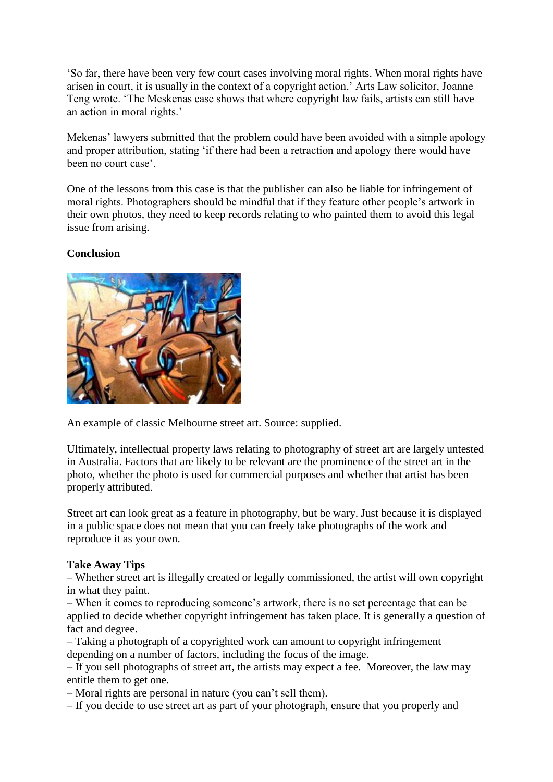'So far, there have been very few court cases involving moral rights. When moral rights have arisen in court, it is usually in the context of a copyright action,' Arts Law solicitor, Joanne Teng wrote. 'The Meskenas case shows that where copyright law fails, artists can still have an action in moral rights.'

Mekenas' lawyers submitted that the problem could have been avoided with a simple apology and proper attribution, stating 'if there had been a retraction and apology there would have been no court case'.

One of the lessons from this case is that the publisher can also be liable for infringement of moral rights. Photographers should be mindful that if they feature other people's artwork in their own photos, they need to keep records relating to who painted them to avoid this legal issue from arising.

# **Conclusion**



An example of classic Melbourne street art. Source: supplied.

Ultimately, intellectual property laws relating to photography of street art are largely untested in Australia. Factors that are likely to be relevant are the prominence of the street art in the photo, whether the photo is used for commercial purposes and whether that artist has been properly attributed.

Street art can look great as a feature in photography, but be wary. Just because it is displayed in a public space does not mean that you can freely take photographs of the work and reproduce it as your own.

### **Take Away Tips**

– Whether street art is illegally created or legally commissioned, the artist will own copyright in what they paint.

– When it comes to reproducing someone's artwork, there is no set percentage that can be applied to decide whether copyright infringement has taken place. It is generally a question of fact and degree.

– Taking a photograph of a copyrighted work can amount to copyright infringement depending on a number of factors, including the focus of the image.

– If you sell photographs of street art, the artists may expect a fee. Moreover, the law may entitle them to get one.

– Moral rights are personal in nature (you can't sell them).

– If you decide to use street art as part of your photograph, ensure that you properly and